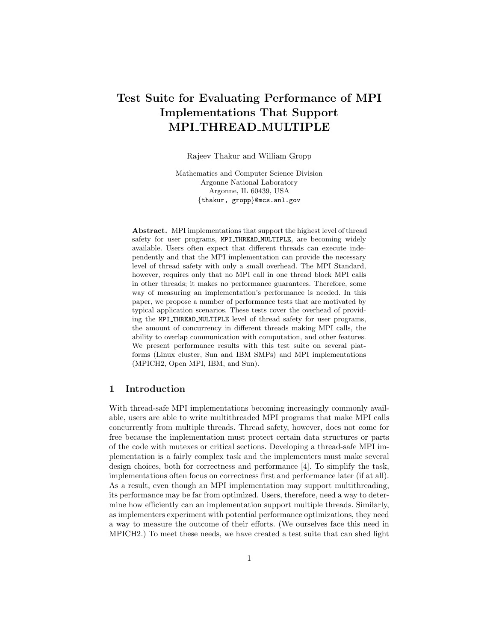# Test Suite for Evaluating Performance of MPI Implementations That Support MPI THREAD MULTIPLE

Rajeev Thakur and William Gropp

Mathematics and Computer Science Division Argonne National Laboratory Argonne, IL 60439, USA *{*thakur, gropp*}*@mcs.anl.gov

Abstract. MPI implementations that support the highest level of thread safety for user programs, MPI\_THREAD\_MULTIPLE, are becoming widely available. Users often expect that different threads can execute independently and that the MPI implementation can provide the necessary level of thread safety with only a small overhead. The MPI Standard, however, requires only that no MPI call in one thread block MPI calls in other threads; it makes no performance guarantees. Therefore, some way of measuring an implementation's performance is needed. In this paper, we propose a number of performance tests that are motivated by typical application scenarios. These tests cover the overhead of providing the MPI THREAD MULTIPLE level of thread safety for user programs, the amount of concurrency in different threads making MPI calls, the ability to overlap communication with computation, and other features. We present performance results with this test suite on several platforms (Linux cluster, Sun and IBM SMPs) and MPI implementations (MPICH2, Open MPI, IBM, and Sun).

## 1 Introduction

With thread-safe MPI implementations becoming increasingly commonly available, users are able to write multithreaded MPI programs that make MPI calls concurrently from multiple threads. Thread safety, however, does not come for free because the implementation must protect certain data structures or parts of the code with mutexes or critical sections. Developing a thread-safe MPI implementation is a fairly complex task and the implementers must make several design choices, both for correctness and performance [4]. To simplify the task, implementations often focus on correctness first and performance later (if at all). As a result, even though an MPI implementation may support multithreading, its performance may be far from optimized. Users, therefore, need a way to determine how efficiently can an implementation support multiple threads. Similarly, as implementers experiment with potential performance optimizations, they need a way to measure the outcome of their efforts. (We ourselves face this need in MPICH2.) To meet these needs, we have created a test suite that can shed light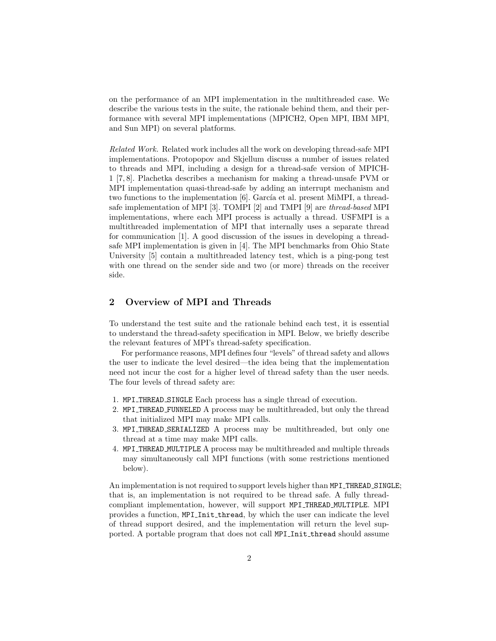on the performance of an MPI implementation in the multithreaded case. We describe the various tests in the suite, the rationale behind them, and their performance with several MPI implementations (MPICH2, Open MPI, IBM MPI, and Sun MPI) on several platforms.

*Related Work.* Related work includes all the work on developing thread-safe MPI implementations. Protopopov and Skjellum discuss a number of issues related to threads and MPI, including a design for a thread-safe version of MPICH-1 [7, 8]. Plachetka describes a mechanism for making a thread-unsafe PVM or MPI implementation quasi-thread-safe by adding an interrupt mechanism and two functions to the implementation  $[6]$ . García et al. present MiMPI, a threadsafe implementation of MPI [3]. TOMPI [2] and TMPI [9] are *thread-based* MPI implementations, where each MPI process is actually a thread. USFMPI is a multithreaded implementation of MPI that internally uses a separate thread for communication [1]. A good discussion of the issues in developing a threadsafe MPI implementation is given in [4]. The MPI benchmarks from Ohio State University [5] contain a multithreaded latency test, which is a ping-pong test with one thread on the sender side and two (or more) threads on the receiver side.

# 2 Overview of MPI and Threads

To understand the test suite and the rationale behind each test, it is essential to understand the thread-safety specification in MPI. Below, we briefly describe the relevant features of MPI's thread-safety specification.

For performance reasons, MPI defines four "levels" of thread safety and allows the user to indicate the level desired—the idea being that the implementation need not incur the cost for a higher level of thread safety than the user needs. The four levels of thread safety are:

- 1. MPI THREAD SINGLE Each process has a single thread of execution.
- 2. MPI\_THREAD\_FUNNELED A process may be multithreaded, but only the thread that initialized MPI may make MPI calls.
- 3. MPI\_THREAD\_SERIALIZED A process may be multithreaded, but only one thread at a time may make MPI calls.
- 4. MPI THREAD MULTIPLE A process may be multithreaded and multiple threads may simultaneously call MPI functions (with some restrictions mentioned below).

An implementation is not required to support levels higher than MPI THREAD SINGLE; that is, an implementation is not required to be thread safe. A fully threadcompliant implementation, however, will support MPI THREAD MULTIPLE. MPI provides a function, MPI Init thread, by which the user can indicate the level of thread support desired, and the implementation will return the level supported. A portable program that does not call MPI\_Init\_thread should assume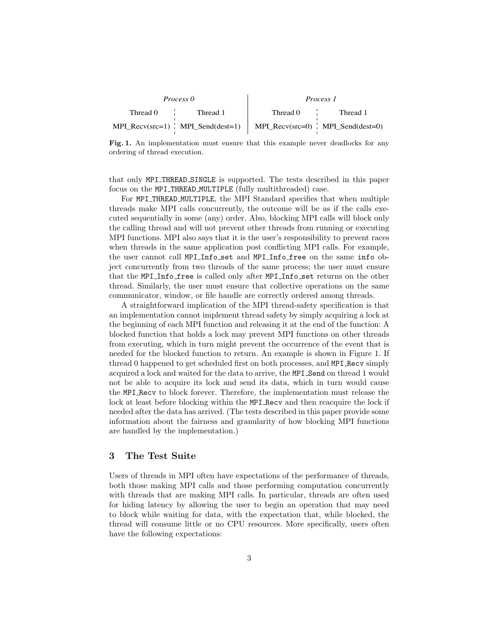| Process <sub>0</sub>                     | <i>Process 1</i>                         |
|------------------------------------------|------------------------------------------|
| Thread 0<br>Thread 1                     | Thread 0<br>Thread 1                     |
| $MPI\_Recv(src=1)$   $MPI\_Send(dest=1)$ | MPI Recv(src=0) $\vert$ MPI Send(dest=0) |

Fig. 1. An implementation must ensure that this example never deadlocks for any ordering of thread execution.

that only MPI THREAD SINGLE is supported. The tests described in this paper focus on the MPI THREAD MULTIPLE (fully multithreaded) case.

For MPI THREAD MULTIPLE, the MPI Standard specifies that when multiple threads make MPI calls concurrently, the outcome will be as if the calls executed sequentially in some (any) order. Also, blocking MPI calls will block only the calling thread and will not prevent other threads from running or executing MPI functions. MPI also says that it is the user's responsibility to prevent races when threads in the same application post conflicting MPI calls. For example, the user cannot call MPI Info set and MPI Info free on the same info object concurrently from two threads of the same process; the user must ensure that the MPI Info free is called only after MPI Info set returns on the other thread. Similarly, the user must ensure that collective operations on the same communicator, window, or file handle are correctly ordered among threads.

A straightforward implication of the MPI thread-safety specification is that an implementation cannot implement thread safety by simply acquiring a lock at the beginning of each MPI function and releasing it at the end of the function: A blocked function that holds a lock may prevent MPI functions on other threads from executing, which in turn might prevent the occurrence of the event that is needed for the blocked function to return. An example is shown in Figure 1. If thread 0 happened to get scheduled first on both processes, and MPI Recv simply acquired a lock and waited for the data to arrive, the MPI Send on thread 1 would not be able to acquire its lock and send its data, which in turn would cause the MPI Recv to block forever. Therefore, the implementation must release the lock at least before blocking within the MPI Recv and then reacquire the lock if needed after the data has arrived. (The tests described in this paper provide some information about the fairness and granularity of how blocking MPI functions are handled by the implementation.)

## 3 The Test Suite

Users of threads in MPI often have expectations of the performance of threads, both those making MPI calls and those performing computation concurrently with threads that are making MPI calls. In particular, threads are often used for hiding latency by allowing the user to begin an operation that may need to block while waiting for data, with the expectation that, while blocked, the thread will consume little or no CPU resources. More specifically, users often have the following expectations: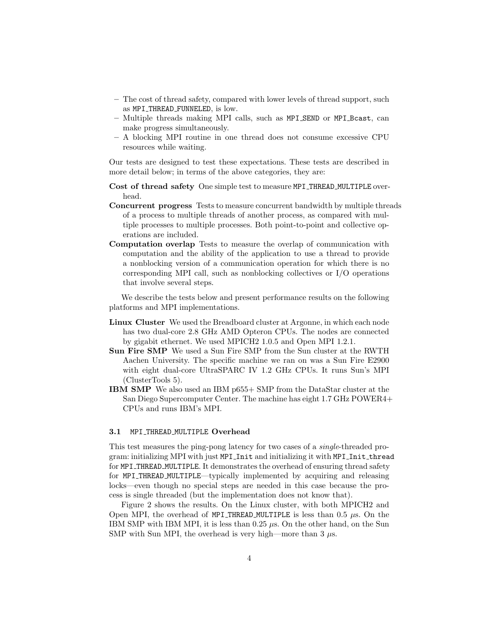- The cost of thread safety, compared with lower levels of thread support, such as MPI THREAD FUNNELED, is low.
- Multiple threads making MPI calls, such as MPI SEND or MPI Bcast, can make progress simultaneously.
- A blocking MPI routine in one thread does not consume excessive CPU resources while waiting.

Our tests are designed to test these expectations. These tests are described in more detail below; in terms of the above categories, they are:

- Cost of thread safety One simple test to measure MPI THREAD MULTIPLE overhead.
- Concurrent progress Tests to measure concurrent bandwidth by multiple threads of a process to multiple threads of another process, as compared with multiple processes to multiple processes. Both point-to-point and collective operations are included.
- Computation overlap Tests to measure the overlap of communication with computation and the ability of the application to use a thread to provide a nonblocking version of a communication operation for which there is no corresponding MPI call, such as nonblocking collectives or I/O operations that involve several steps.

We describe the tests below and present performance results on the following platforms and MPI implementations.

- Linux Cluster We used the Breadboard cluster at Argonne, in which each node has two dual-core 2.8 GHz AMD Opteron CPUs. The nodes are connected by gigabit ethernet. We used MPICH2 1.0.5 and Open MPI 1.2.1.
- Sun Fire SMP We used a Sun Fire SMP from the Sun cluster at the RWTH Aachen University. The specific machine we ran on was a Sun Fire E2900 with eight dual-core UltraSPARC IV 1.2 GHz CPUs. It runs Sun's MPI (ClusterTools 5).
- IBM SMP We also used an IBM p655+ SMP from the DataStar cluster at the San Diego Supercomputer Center. The machine has eight 1.7 GHz POWER4+ CPUs and runs IBM's MPI.

#### 3.1 MPI\_THREAD\_MULTIPLE Overhead

This test measures the ping-pong latency for two cases of a *single*-threaded program: initializing MPI with just MPI Init and initializing it with MPI Init thread for MPI THREAD MULTIPLE. It demonstrates the overhead of ensuring thread safety for MPI THREAD MULTIPLE—typically implemented by acquiring and releasing locks—even though no special steps are needed in this case because the process is single threaded (but the implementation does not know that).

Figure 2 shows the results. On the Linux cluster, with both MPICH2 and Open MPI, the overhead of MPI THREAD MULTIPLE is less than 0.5 *µ*s. On the IBM SMP with IBM MPI, it is less than  $0.25 \mu s$ . On the other hand, on the Sun SMP with Sun MPI, the overhead is very high—more than  $3 \mu s$ .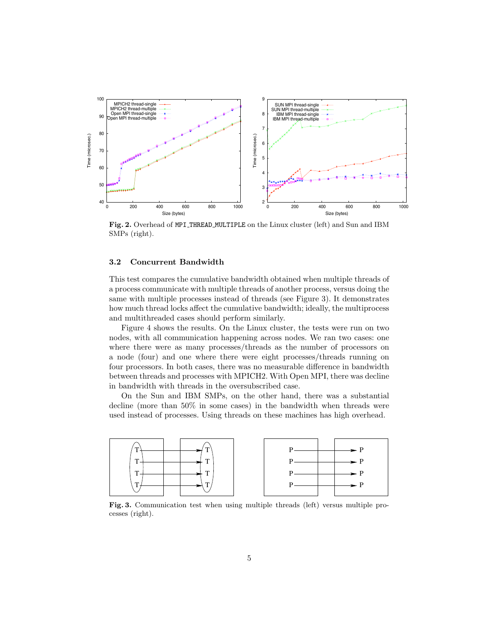

Fig. 2. Overhead of MPI THREAD MULTIPLE on the Linux cluster (left) and Sun and IBM SMPs (right).

#### 3.2 Concurrent Bandwidth

This test compares the cumulative bandwidth obtained when multiple threads of a process communicate with multiple threads of another process, versus doing the same with multiple processes instead of threads (see Figure 3). It demonstrates how much thread locks affect the cumulative bandwidth; ideally, the multiprocess and multithreaded cases should perform similarly.

Figure 4 shows the results. On the Linux cluster, the tests were run on two nodes, with all communication happening across nodes. We ran two cases: one where there were as many processes/threads as the number of processors on a node (four) and one where there were eight processes/threads running on four processors. In both cases, there was no measurable difference in bandwidth between threads and processes with MPICH2. With Open MPI, there was decline in bandwidth with threads in the oversubscribed case.

On the Sun and IBM SMPs, on the other hand, there was a substantial decline (more than 50% in some cases) in the bandwidth when threads were used instead of processes. Using threads on these machines has high overhead.



Fig. 3. Communication test when using multiple threads (left) versus multiple processes (right).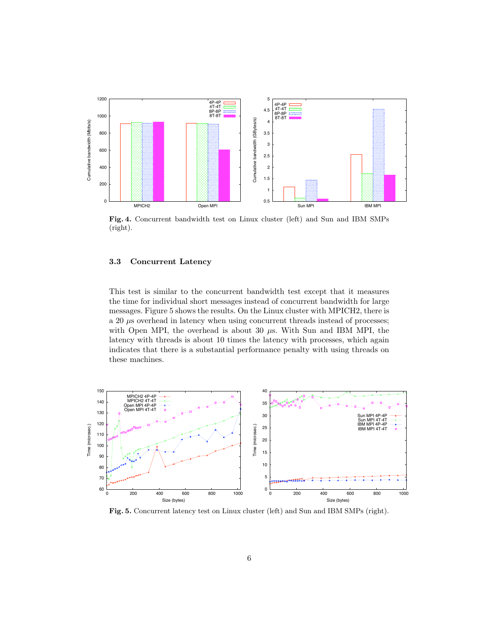

Fig. 4. Concurrent bandwidth test on Linux cluster (left) and Sun and IBM SMPs (right).

#### 3.3 Concurrent Latency

This test is similar to the concurrent bandwidth test except that it measures the time for individual short messages instead of concurrent bandwidth for large messages. Figure 5 shows the results. On the Linux cluster with MPICH2, there is a 20  $\mu$ s overhead in latency when using concurrent threads instead of processes; with Open MPI, the overhead is about 30 *µ*s. With Sun and IBM MPI, the latency with threads is about 10 times the latency with processes, which again indicates that there is a substantial performance penalty with using threads on these machines.



Fig. 5. Concurrent latency test on Linux cluster (left) and Sun and IBM SMPs (right).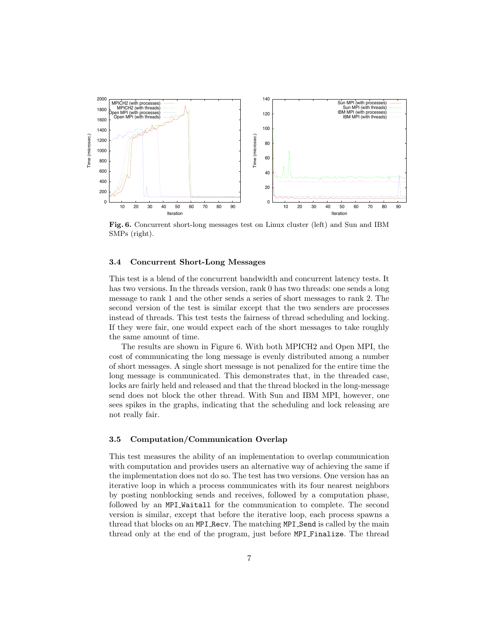

Fig. 6. Concurrent short-long messages test on Linux cluster (left) and Sun and IBM SMPs (right).

#### 3.4 Concurrent Short-Long Messages

This test is a blend of the concurrent bandwidth and concurrent latency tests. It has two versions. In the threads version, rank 0 has two threads: one sends a long message to rank 1 and the other sends a series of short messages to rank 2. The second version of the test is similar except that the two senders are processes instead of threads. This test tests the fairness of thread scheduling and locking. If they were fair, one would expect each of the short messages to take roughly the same amount of time.

The results are shown in Figure 6. With both MPICH2 and Open MPI, the cost of communicating the long message is evenly distributed among a number of short messages. A single short message is not penalized for the entire time the long message is communicated. This demonstrates that, in the threaded case, locks are fairly held and released and that the thread blocked in the long-message send does not block the other thread. With Sun and IBM MPI, however, one sees spikes in the graphs, indicating that the scheduling and lock releasing are not really fair.

#### 3.5 Computation/Communication Overlap

This test measures the ability of an implementation to overlap communication with computation and provides users an alternative way of achieving the same if the implementation does not do so. The test has two versions. One version has an iterative loop in which a process communicates with its four nearest neighbors by posting nonblocking sends and receives, followed by a computation phase, followed by an MPI Waitall for the communication to complete. The second version is similar, except that before the iterative loop, each process spawns a thread that blocks on an MPI Recv. The matching MPI Send is called by the main thread only at the end of the program, just before MPI Finalize. The thread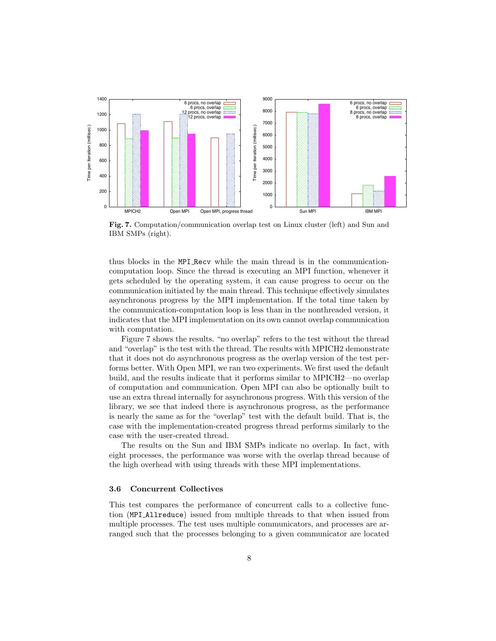

Fig. 7. Computation/communication overlap test on Linux cluster (left) and Sun and IBM SMPs (right).

thus blocks in the MPI Recv while the main thread is in the communicationcomputation loop. Since the thread is executing an MPI function, whenever it gets scheduled by the operating system, it can cause progress to occur on the communication initiated by the main thread. This technique effectively simulates asynchronous progress by the MPI implementation. If the total time taken by the communication-computation loop is less than in the nonthreaded version, it indicates that the MPI implementation on its own cannot overlap communication with computation.

Figure 7 shows the results. "no overlap" refers to the test without the thread and "overlap" is the test with the thread. The results with MPICH2 demonstrate that it does not do asynchronous progress as the overlap version of the test performs better. With Open MPI, we ran two experiments. We first used the default build, and the results indicate that it performs similar to MPICH2—no overlap of computation and communication. Open MPI can also be optionally built to use an extra thread internally for asynchronous progress. With this version of the library, we see that indeed there is asynchronous progress, as the performance is nearly the same as for the "overlap" test with the default build. That is, the case with the implementation-created progress thread performs similarly to the case with the user-created thread.

The results on the Sun and IBM SMPs indicate no overlap. In fact, with eight processes, the performance was worse with the overlap thread because of the high overhead with using threads with these MPI implementations.

#### 3.6 Concurrent Collectives

This test compares the performance of concurrent calls to a collective function (MPI Allreduce) issued from multiple threads to that when issued from multiple processes. The test uses multiple communicators, and processes are arranged such that the processes belonging to a given communicator are located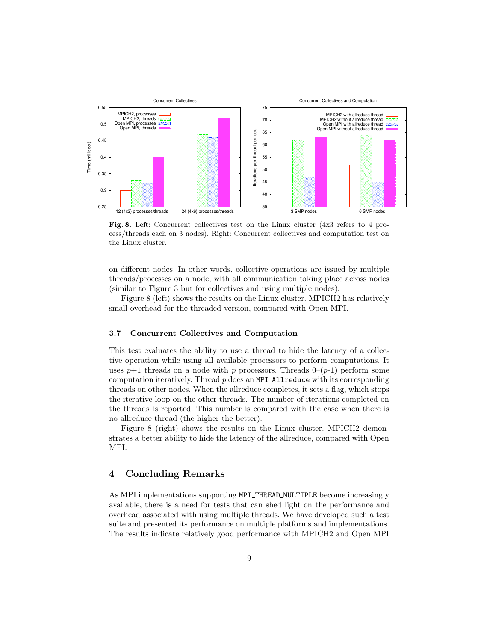

Fig. 8. Left: Concurrent collectives test on the Linux cluster (4x3 refers to 4 process/threads each on 3 nodes). Right: Concurrent collectives and computation test on the Linux cluster.

on different nodes. In other words, collective operations are issued by multiple threads/processes on a node, with all communication taking place across nodes (similar to Figure 3 but for collectives and using multiple nodes).

Figure 8 (left) shows the results on the Linux cluster. MPICH2 has relatively small overhead for the threaded version, compared with Open MPI.

### 3.7 Concurrent Collectives and Computation

This test evaluates the ability to use a thread to hide the latency of a collective operation while using all available processors to perform computations. It uses  $p+1$  threads on a node with p processors. Threads  $0-(p-1)$  perform some computation iteratively. Thread *p* does an MPI Allreduce with its corresponding threads on other nodes. When the allreduce completes, it sets a flag, which stops the iterative loop on the other threads. The number of iterations completed on the threads is reported. This number is compared with the case when there is no allreduce thread (the higher the better).

Figure 8 (right) shows the results on the Linux cluster. MPICH2 demonstrates a better ability to hide the latency of the allreduce, compared with Open MPI.

## 4 Concluding Remarks

As MPI implementations supporting MPI THREAD MULTIPLE become increasingly available, there is a need for tests that can shed light on the performance and overhead associated with using multiple threads. We have developed such a test suite and presented its performance on multiple platforms and implementations. The results indicate relatively good performance with MPICH2 and Open MPI